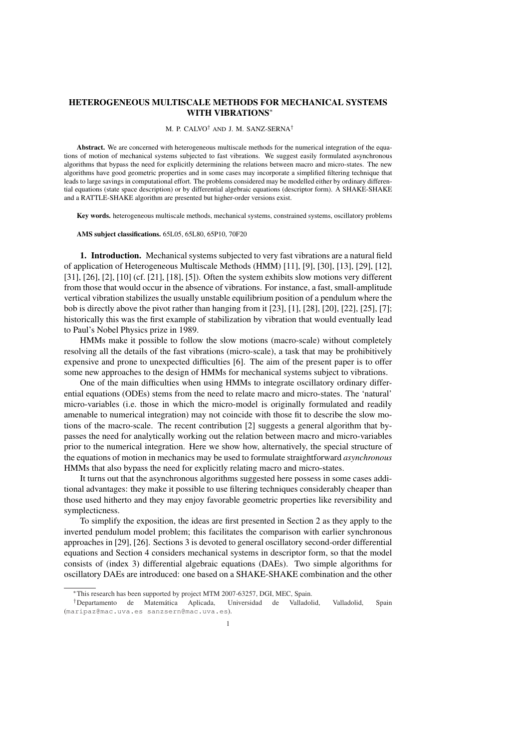# HETEROGENEOUS MULTISCALE METHODS FOR MECHANICAL SYSTEMS WITH VIBRATIONS<sup>∗</sup>

## M. P. CALVO† AND J. M. SANZ-SERNA†

Abstract. We are concerned with heterogeneous multiscale methods for the numerical integration of the equations of motion of mechanical systems subjected to fast vibrations. We suggest easily formulated asynchronous algorithms that bypass the need for explicitly determining the relations between macro and micro-states. The new algorithms have good geometric properties and in some cases may incorporate a simplified filtering technique that leads to large savings in computational effort. The problems considered may be modelled either by ordinary differential equations (state space description) or by differential algebraic equations (descriptor form). A SHAKE-SHAKE and a RATTLE-SHAKE algorithm are presented but higher-order versions exist.

Key words. heterogeneous multiscale methods, mechanical systems, constrained systems, oscillatory problems

## AMS subject classifications. 65L05, 65L80, 65P10, 70F20

1. Introduction. Mechanical systems subjected to very fast vibrations are a natural field of application of Heterogeneous Multiscale Methods (HMM) [11], [9], [30], [13], [29], [12], [31], [26], [2], [10] (cf. [21], [18], [5]). Often the system exhibits slow motions very different from those that would occur in the absence of vibrations. For instance, a fast, small-amplitude vertical vibration stabilizes the usually unstable equilibrium position of a pendulum where the bob is directly above the pivot rather than hanging from it [23], [1], [28], [20], [22], [25], [7]; historically this was the first example of stabilization by vibration that would eventually lead to Paul's Nobel Physics prize in 1989.

HMMs make it possible to follow the slow motions (macro-scale) without completely resolving all the details of the fast vibrations (micro-scale), a task that may be prohibitively expensive and prone to unexpected difficulties [6]. The aim of the present paper is to offer some new approaches to the design of HMMs for mechanical systems subject to vibrations.

One of the main difficulties when using HMMs to integrate oscillatory ordinary differential equations (ODEs) stems from the need to relate macro and micro-states. The 'natural' micro-variables (i.e. those in which the micro-model is originally formulated and readily amenable to numerical integration) may not coincide with those fit to describe the slow motions of the macro-scale. The recent contribution [2] suggests a general algorithm that bypasses the need for analytically working out the relation between macro and micro-variables prior to the numerical integration. Here we show how, alternatively, the special structure of the equations of motion in mechanics may be used to formulate straightforward *asynchronous* HMMs that also bypass the need for explicitly relating macro and micro-states.

It turns out that the asynchronous algorithms suggested here possess in some cases additional advantages: they make it possible to use filtering techniques considerably cheaper than those used hitherto and they may enjoy favorable geometric properties like reversibility and symplecticness.

To simplify the exposition, the ideas are first presented in Section 2 as they apply to the inverted pendulum model problem; this facilitates the comparison with earlier synchronous approaches in [29], [26]. Sections 3 is devoted to general oscillatory second-order differential equations and Section 4 considers mechanical systems in descriptor form, so that the model consists of (index 3) differential algebraic equations (DAEs). Two simple algorithms for oscillatory DAEs are introduced: one based on a SHAKE-SHAKE combination and the other

<sup>∗</sup>This research has been supported by project MTM 2007-63257, DGI, MEC, Spain.

<sup>†</sup>Departamento de Matematica Aplicada, Universidad de Valladolid, Valladolid, Spain ´ (maripaz@mac.uva.es sanzsern@mac.uva.es).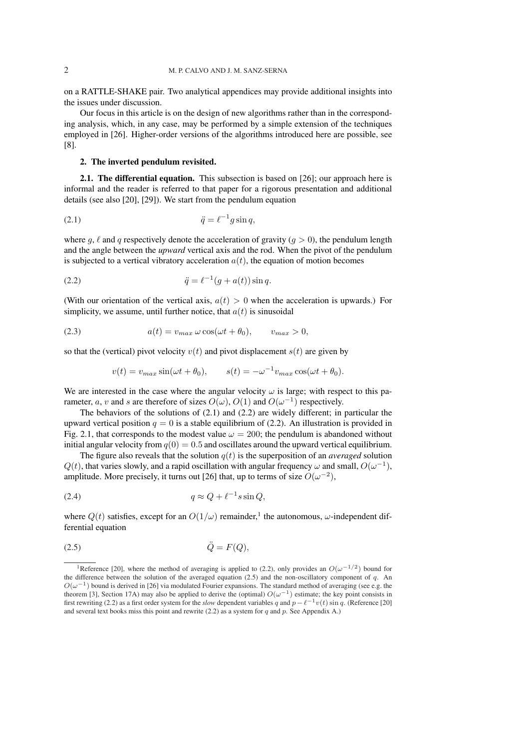on a RATTLE-SHAKE pair. Two analytical appendices may provide additional insights into the issues under discussion.

Our focus in this article is on the design of new algorithms rather than in the corresponding analysis, which, in any case, may be performed by a simple extension of the techniques employed in [26]. Higher-order versions of the algorithms introduced here are possible, see [8].

# 2. The inverted pendulum revisited.

2.1. The differential equation. This subsection is based on [26]; our approach here is informal and the reader is referred to that paper for a rigorous presentation and additional details (see also [20], [29]). We start from the pendulum equation

$$
(2.1) \qquad \qquad \ddot{q} = \ell^{-1} g \sin q,
$$

where q,  $\ell$  and q respectively denote the acceleration of gravity ( $q > 0$ ), the pendulum length and the angle between the *upward* vertical axis and the rod. When the pivot of the pendulum is subjected to a vertical vibratory acceleration  $a(t)$ , the equation of motion becomes

(2.2) 
$$
\ddot{q} = \ell^{-1}(g + a(t))\sin q.
$$

(With our orientation of the vertical axis,  $a(t) > 0$  when the acceleration is upwards.) For simplicity, we assume, until further notice, that  $a(t)$  is sinusoidal

(2.3) 
$$
a(t) = v_{max} \omega \cos(\omega t + \theta_0), \qquad v_{max} > 0,
$$

so that the (vertical) pivot velocity  $v(t)$  and pivot displacement  $s(t)$  are given by

$$
v(t) = v_{max} \sin(\omega t + \theta_0), \qquad s(t) = -\omega^{-1} v_{max} \cos(\omega t + \theta_0).
$$

We are interested in the case where the angular velocity  $\omega$  is large; with respect to this parameter, a, v and s are therefore of sizes  $O(\omega)$ ,  $O(1)$  and  $O(\omega^{-1})$  respectively.

The behaviors of the solutions of (2.1) and (2.2) are widely different; in particular the upward vertical position  $q = 0$  is a stable equilibrium of (2.2). An illustration is provided in Fig. 2.1, that corresponds to the modest value  $\omega = 200$ ; the pendulum is abandoned without initial angular velocity from  $q(0) = 0.5$  and oscillates around the upward vertical equilibrium.

The figure also reveals that the solution  $q(t)$  is the superposition of an *averaged* solution  $Q(t)$ , that varies slowly, and a rapid oscillation with angular frequency  $\omega$  and small,  $O(\omega^{-1})$ , amplitude. More precisely, it turns out [26] that, up to terms of size  $O(\omega^{-2})$ ,

$$
(2.4) \t\t q \approx Q + \ell^{-1} s \sin Q,
$$

where  $Q(t)$  satisfies, except for an  $O(1/\omega)$  remainder,<sup>1</sup> the autonomous,  $\omega$ -independent differential equation

$$
\ddot{Q} = F(Q),
$$

<sup>&</sup>lt;sup>1</sup>Reference [20], where the method of averaging is applied to (2.2), only provides an  $O(\omega^{-1/2})$  bound for the difference between the solution of the averaged equation (2.5) and the non-oscillatory component of q. An  $O(\omega^{-1})$  bound is derived in [26] via modulated Fourier expansions. The standard method of averaging (see e.g. the theorem [3], Section 17A) may also be applied to derive the (optimal)  $O(\omega^{-1})$  estimate; the key point consists in first rewriting (2.2) as a first order system for the *slow* dependent variables q and  $p - \ell^{-1}v(t) \sin q$ . (Reference [20] and several text books miss this point and rewrite (2.2) as a system for q and p. See Appendix A.)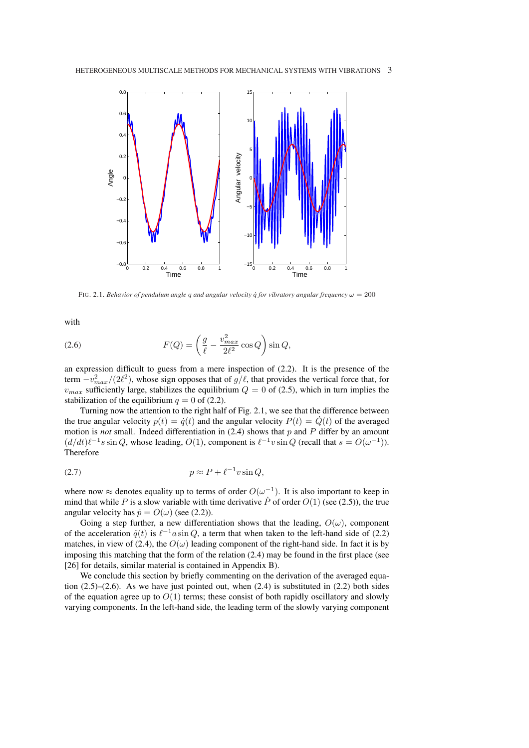

FIG. 2.1. *Behavior of pendulum angle q and angular velocity q for vibratory angular frequency*  $\omega = 200$ 

with

(2.6) 
$$
F(Q) = \left(\frac{g}{\ell} - \frac{v_{max}^2}{2\ell^2} \cos Q\right) \sin Q,
$$

an expression difficult to guess from a mere inspection of (2.2). It is the presence of the term  $-v_{max}^2/(2\ell^2)$ , whose sign opposes that of  $g/\ell$ , that provides the vertical force that, for  $v_{max}$  sufficiently large, stabilizes the equilibrium  $Q = 0$  of (2.5), which in turn implies the stabilization of the equilibrium  $q = 0$  of (2.2).

Turning now the attention to the right half of Fig. 2.1, we see that the difference between the true angular velocity  $p(t) = \dot{q}(t)$  and the angular velocity  $P(t) = Q(t)$  of the averaged motion is *not* small. Indeed differentiation in (2.4) shows that p and P differ by an amount  $(d/dt)\ell^{-1}s\sin Q$ , whose leading,  $O(1)$ , component is  $\ell^{-1}v\sin Q$  (recall that  $s = O(\omega^{-1})$ ). Therefore

$$
(2.7) \t\t\t p \approx P + \ell^{-1} v \sin Q,
$$

where now  $\approx$  denotes equality up to terms of order  $O(\omega^{-1})$ . It is also important to keep in mind that while P is a slow variable with time derivative P of order  $O(1)$  (see (2.5)), the true angular velocity has  $\dot{p} = O(\omega)$  (see (2.2)).

Going a step further, a new differentiation shows that the leading,  $O(\omega)$ , component of the acceleration  $\ddot{q}(t)$  is  $\ell^{-1}a \sin Q$ , a term that when taken to the left-hand side of (2.2) matches, in view of (2.4), the  $O(\omega)$  leading component of the right-hand side. In fact it is by imposing this matching that the form of the relation (2.4) may be found in the first place (see [26] for details, similar material is contained in Appendix B).

We conclude this section by briefly commenting on the derivation of the averaged equation  $(2.5)$ – $(2.6)$ . As we have just pointed out, when  $(2.4)$  is substituted in  $(2.2)$  both sides of the equation agree up to  $O(1)$  terms; these consist of both rapidly oscillatory and slowly varying components. In the left-hand side, the leading term of the slowly varying component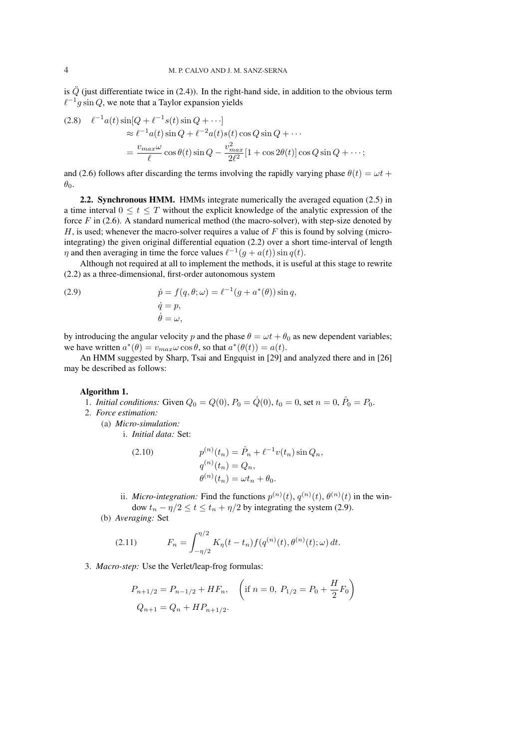is  $\ddot{Q}$  (just differentiate twice in (2.4)). In the right-hand side, in addition to the obvious term  $\ell^{-1}g \sin Q$ , we note that a Taylor expansion yields

$$
(2.8) \quad \ell^{-1}a(t)\sin[Q + \ell^{-1}s(t)\sin Q + \cdots]
$$

$$
\approx \ell^{-1}a(t)\sin Q + \ell^{-2}a(t)s(t)\cos Q\sin Q + \cdots
$$

$$
= \frac{v_{max}\omega}{\ell}\cos\theta(t)\sin Q - \frac{v_{max}^2}{2\ell^2}[1 + \cos 2\theta(t)]\cos Q\sin Q + \cdots;
$$

and (2.6) follows after discarding the terms involving the rapidly varying phase  $\theta(t) = \omega t +$  $\theta_0$ .

2.2. Synchronous HMM. HMMs integrate numerically the averaged equation (2.5) in a time interval  $0 \le t \le T$  without the explicit knowledge of the analytic expression of the force  $F$  in (2.6). A standard numerical method (the macro-solver), with step-size denoted by H, is used; whenever the macro-solver requires a value of F this is found by solving (microintegrating) the given original differential equation (2.2) over a short time-interval of length  $\eta$  and then averaging in time the force values  $\ell^{-1}(g + a(t)) \sin q(t)$ .

Although not required at all to implement the methods, it is useful at this stage to rewrite (2.2) as a three-dimensional, first-order autonomous system

(2.9) 
$$
\dot{p} = f(q, \theta; \omega) = \ell^{-1}(g + a^*(\theta)) \sin q,
$$

$$
\dot{q} = p,
$$

$$
\dot{\theta} = \omega,
$$

by introducing the angular velocity p and the phase  $\theta = \omega t + \theta_0$  as new dependent variables; we have written  $a^*(\theta) = v_{max}\omega \cos \theta$ , so that  $a^*(\theta(t)) = a(t)$ .

An HMM suggested by Sharp, Tsai and Engquist in [29] and analyzed there and in [26] may be described as follows:

# Algorithm 1.

1. *Initial conditions:* Given  $Q_0 = Q(0)$ ,  $P_0 = \dot{Q}(0)$ ,  $t_0 = 0$ , set  $n = 0$ ,  $\hat{P}_0 = P_0$ .

2. *Force estimation:*

(a) *Micro-simulation:*

i. *Initial data:* Set:

(2.10) 
$$
p^{(n)}(t_n) = \hat{P}_n + \ell^{-1} v(t_n) \sin Q_n,
$$

$$
q^{(n)}(t_n) = Q_n,
$$

$$
\theta^{(n)}(t_n) = \omega t_n + \theta_0.
$$

- ii. *Micro-integration*: Find the functions  $p^{(n)}(t)$ ,  $q^{(n)}(t)$ ,  $\theta^{(n)}(t)$  in the window  $t_n - \eta/2 \le t \le t_n + \eta/2$  by integrating the system (2.9).
- (b) *Averaging:* Set

(2.11) 
$$
F_n = \int_{-\eta/2}^{\eta/2} K_\eta(t - t_n) f(q^{(n)}(t), \theta^{(n)}(t); \omega) dt.
$$

3. *Macro-step:* Use the Verlet/leap-frog formulas:

$$
P_{n+1/2} = P_{n-1/2} + HF_n, \quad \left(\text{if } n = 0, P_{1/2} = P_0 + \frac{H}{2}F_0\right)
$$
  

$$
Q_{n+1} = Q_n + HP_{n+1/2}.
$$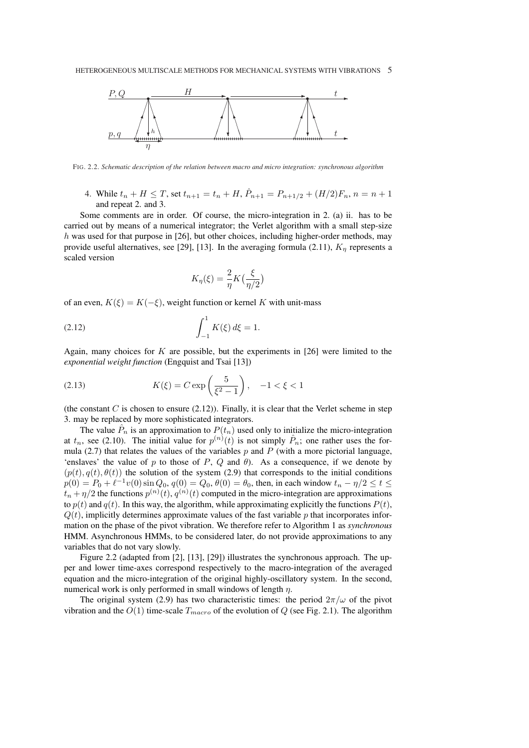

FIG. 2.2. *Schematic description of the relation between macro and micro integration: synchronous algorithm*

4. While  $t_n + H \leq T$ , set  $t_{n+1} = t_n + H$ ,  $\hat{P}_{n+1} = P_{n+1/2} + (H/2)F_n$ ,  $n = n + 1$ and repeat 2. and 3.

Some comments are in order. Of course, the micro-integration in 2. (a) ii. has to be carried out by means of a numerical integrator; the Verlet algorithm with a small step-size h was used for that purpose in [26], but other choices, including higher-order methods, may provide useful alternatives, see [29], [13]. In the averaging formula (2.11),  $K_n$  represents a scaled version

$$
K_{\eta}(\xi) = \frac{2}{\eta} K\left(\frac{\xi}{\eta/2}\right)
$$

of an even,  $K(\xi) = K(-\xi)$ , weight function or kernel K with unit-mass

(2.12) 
$$
\int_{-1}^{1} K(\xi) d\xi = 1.
$$

Again, many choices for K are possible, but the experiments in [26] were limited to the *exponential weight function* (Engquist and Tsai [13])

(2.13) 
$$
K(\xi) = C \exp\left(\frac{5}{\xi^2 - 1}\right), \quad -1 < \xi < 1
$$

(the constant C is chosen to ensure  $(2.12)$ ). Finally, it is clear that the Verlet scheme in step 3. may be replaced by more sophisticated integrators.

The value  $\hat{P}_n$  is an approximation to  $P(t_n)$  used only to initialize the micro-integration at  $t_n$ , see (2.10). The initial value for  $p^{(n)}(t)$  is not simply  $\hat{P}_n$ ; one rather uses the formula (2.7) that relates the values of the variables  $p$  and  $P$  (with a more pictorial language, 'enslaves' the value of p to those of P, Q and  $\theta$ ). As a consequence, if we denote by  $(p(t), q(t), \theta(t))$  the solution of the system (2.9) that corresponds to the initial conditions  $p(0) = P_0 + \ell^{-1}v(0) \sin Q_0$ ,  $q(0) = Q_0$ ,  $\theta(0) = \theta_0$ , then, in each window  $t_n - \eta/2 \le t \le 1$  $t_n + \eta/2$  the functions  $p^{(n)}(t)$ ,  $q^{(n)}(t)$  computed in the micro-integration are approximations to  $p(t)$  and  $q(t)$ . In this way, the algorithm, while approximating explicitly the functions  $P(t)$ ,  $Q(t)$ , implicitly determines approximate values of the fast variable p that incorporates information on the phase of the pivot vibration. We therefore refer to Algorithm 1 as *synchronous* HMM. Asynchronous HMMs, to be considered later, do not provide approximations to any variables that do not vary slowly.

Figure 2.2 (adapted from [2], [13], [29]) illustrates the synchronous approach. The upper and lower time-axes correspond respectively to the macro-integration of the averaged equation and the micro-integration of the original highly-oscillatory system. In the second, numerical work is only performed in small windows of length  $\eta$ .

The original system (2.9) has two characteristic times: the period  $2\pi/\omega$  of the pivot vibration and the  $O(1)$  time-scale  $T_{macro}$  of the evolution of Q (see Fig. 2.1). The algorithm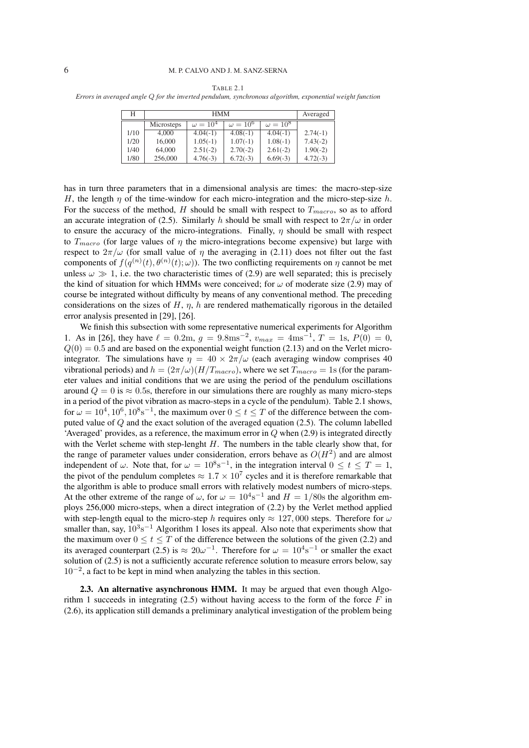#### TABLE 2 1

*Errors in averaged angle* Q *for the inverted pendulum, synchronous algorithm, exponential weight function*

| Н    |            | Averaged        |                 |                 |            |
|------|------------|-----------------|-----------------|-----------------|------------|
|      | Microsteps | $\omega = 10^4$ | $\omega = 10^6$ | $\omega = 10^8$ |            |
| 1/10 | 4.000      | $4.04(-1)$      | $4.08(-1)$      | $4.04(-1)$      | $2.74(-1)$ |
| 1/20 | 16,000     | $1.05(-1)$      | $1.07(-1)$      | $1.08(-1)$      | $7.43(-2)$ |
| 1/40 | 64,000     | $2.51(-2)$      | $2.70(-2)$      | $2.61(-2)$      | $1.90(-2)$ |
| 1/80 | 256,000    | $4.76(-3)$      | $6.72(-3)$      | $6.69(-3)$      | $4.72(-3)$ |

has in turn three parameters that in a dimensional analysis are times: the macro-step-size H, the length  $\eta$  of the time-window for each micro-integration and the micro-step-size h. For the success of the method,  $H$  should be small with respect to  $T_{macro}$ , so as to afford an accurate integration of (2.5). Similarly h should be small with respect to  $2\pi/\omega$  in order to ensure the accuracy of the micro-integrations. Finally,  $\eta$  should be small with respect to  $T_{macro}$  (for large values of  $\eta$  the micro-integrations become expensive) but large with respect to  $2\pi/\omega$  (for small value of  $\eta$  the averaging in (2.11) does not filter out the fast components of  $f(q^{(n)}(t), \theta^{(n)}(t); \omega)$ ). The two conflicting requirements on  $\eta$  cannot be met unless  $\omega \gg 1$ , i.e. the two characteristic times of (2.9) are well separated; this is precisely the kind of situation for which HMMs were conceived; for  $\omega$  of moderate size (2.9) may of course be integrated without difficulty by means of any conventional method. The preceding considerations on the sizes of  $H$ ,  $\eta$ ,  $h$  are rendered mathematically rigorous in the detailed error analysis presented in [29], [26].

We finish this subsection with some representative numerical experiments for Algorithm 1. As in [26], they have  $\ell = 0.2$ m,  $g = 9.8$ ms<sup>-2</sup>,  $v_{max} = 4$ ms<sup>-1</sup>,  $T = 1$ s,  $P(0) = 0$ ,  $Q(0) = 0.5$  and are based on the exponential weight function (2.13) and on the Verlet microintegrator. The simulations have  $\eta = 40 \times 2\pi/\omega$  (each averaging window comprises 40) vibrational periods) and  $h = (2\pi/\omega)(H/T_{macro})$ , where we set  $T_{macro} = 1$ s (for the parameter values and initial conditions that we are using the period of the pendulum oscillations around  $Q = 0$  is  $\approx 0.5$ s, therefore in our simulations there are roughly as many micro-steps in a period of the pivot vibration as macro-steps in a cycle of the pendulum). Table 2.1 shows, for  $\omega = 10^4, 10^6, 10^8$  s<sup>-1</sup>, the maximum over  $0 \le t \le T$  of the difference between the computed value of  $Q$  and the exact solution of the averaged equation  $(2.5)$ . The column labelled 'Averaged' provides, as a reference, the maximum error in  $Q$  when (2.9) is integrated directly with the Verlet scheme with step-lenght  $H$ . The numbers in the table clearly show that, for the range of parameter values under consideration, errors behave as  $O(H^2)$  and are almost independent of  $\omega$ . Note that, for  $\omega = 10^8$ s<sup>-1</sup>, in the integration interval  $0 \le t \le T = 1$ , the pivot of the pendulum completes  $\approx 1.7 \times 10^7$  cycles and it is therefore remarkable that the algorithm is able to produce small errors with relatively modest numbers of micro-steps. At the other extreme of the range of  $\omega$ , for  $\omega = 10^4$ s<sup>-1</sup> and  $H = 1/80$ s the algorithm employs 256,000 micro-steps, when a direct integration of (2.2) by the Verlet method applied with step-length equal to the micro-step h requires only  $\approx 127,000$  steps. Therefore for  $\omega$ smaller than, say,  $10^3$ s<sup>-1</sup> Algorithm 1 loses its appeal. Also note that experiments show that the maximum over  $0 \le t \le T$  of the difference between the solutions of the given (2.2) and its averaged counterpart (2.5) is  $\approx 20\omega^{-1}$ . Therefore for  $\omega = 10^4$ s<sup>-1</sup> or smaller the exact solution of (2.5) is not a sufficiently accurate reference solution to measure errors below, say 10<sup>−</sup><sup>2</sup> , a fact to be kept in mind when analyzing the tables in this section.

2.3. An alternative asynchronous HMM. It may be argued that even though Algorithm 1 succeeds in integrating  $(2.5)$  without having access to the form of the force F in (2.6), its application still demands a preliminary analytical investigation of the problem being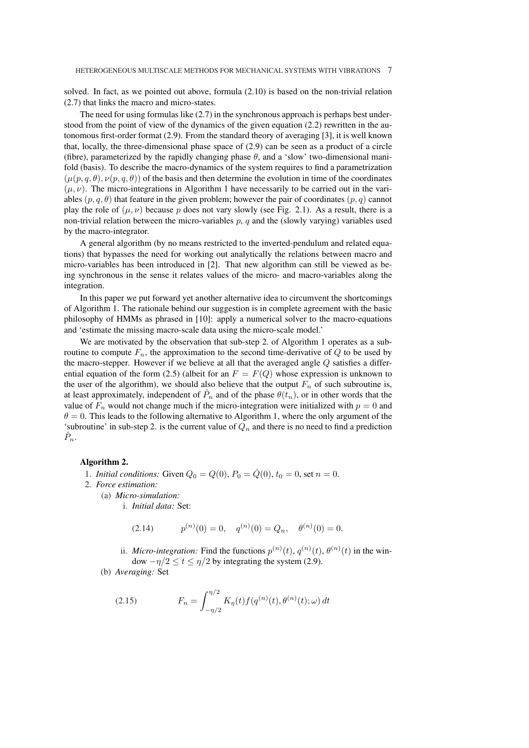solved. In fact, as we pointed out above, formula (2.10) is based on the non-trivial relation (2.7) that links the macro and micro-states.

The need for using formulas like (2.7) in the synchronous approach is perhaps best understood from the point of view of the dynamics of the given equation (2.2) rewritten in the autonomous first-order format (2.9). From the standard theory of averaging [3], it is well known that, locally, the three-dimensional phase space of (2.9) can be seen as a product of a circle (fibre), parameterized by the rapidly changing phase  $\theta$ , and a 'slow' two-dimensional manifold (basis). To describe the macro-dynamics of the system requires to find a parametrization  $(\mu(p, q, \theta), \nu(p, q, \theta))$  of the basis and then determine the evolution in time of the coordinates  $(\mu, \nu)$ . The micro-integrations in Algorithm 1 have necessarily to be carried out in the variables  $(p, q, \theta)$  that feature in the given problem; however the pair of coordinates  $(p, q)$  cannot play the role of  $(\mu, \nu)$  because p does not vary slowly (see Fig. 2.1). As a result, there is a non-trivial relation between the micro-variables  $p$ ,  $q$  and the (slowly varying) variables used by the macro-integrator.

A general algorithm (by no means restricted to the inverted-pendulum and related equations) that bypasses the need for working out analytically the relations between macro and micro-variables has been introduced in [2]. That new algorithm can still be viewed as being synchronous in the sense it relates values of the micro- and macro-variables along the integration.

In this paper we put forward yet another alternative idea to circumvent the shortcomings of Algorithm 1. The rationale behind our suggestion is in complete agreement with the basic philosophy of HMMs as phrased in [10]: apply a numerical solver to the macro-equations and 'estimate the missing macro-scale data using the micro-scale model.'

We are motivated by the observation that sub-step 2. of Algorithm 1 operates as a subroutine to compute  $F_n$ , the approximation to the second time-derivative of  $Q$  to be used by the macro-stepper. However if we believe at all that the averaged angle  $Q$  satisfies a differential equation of the form (2.5) (albeit for an  $F = F(Q)$  whose expression is unknown to the user of the algorithm), we should also believe that the output  $F_n$  of such subroutine is, at least approximately, independent of  $\hat{P}_n$  and of the phase  $\theta(t_n)$ , or in other words that the value of  $F_n$  would not change much if the micro-integration were initialized with  $p = 0$  and  $\theta = 0$ . This leads to the following alternative to Algorithm 1, where the only argument of the 'subroutine' in sub-step 2. is the current value of  $Q_n$  and there is no need to find a prediction  $\hat{P}_n.$ 

### Algorithm 2.

1. *Initial conditions:* Given  $Q_0 = Q(0), P_0 = \dot{Q}(0), t_0 = 0$ , set  $n = 0$ .

2. *Force estimation:*

(a) *Micro-simulation:*

i. *Initial data:* Set:

(2.14) 
$$
p^{(n)}(0) = 0, \quad q^{(n)}(0) = Q_n, \quad \theta^{(n)}(0) = 0.
$$

ii. *Micro-integration*: Find the functions  $p^{(n)}(t)$ ,  $q^{(n)}(t)$ ,  $\theta^{(n)}(t)$  in the window  $-\eta/2 \le t \le \eta/2$  by integrating the system (2.9).

(b) *Averaging:* Set

(2.15) 
$$
F_n = \int_{-\eta/2}^{\eta/2} K_\eta(t) f(q^{(n)}(t), \theta^{(n)}(t); \omega) dt
$$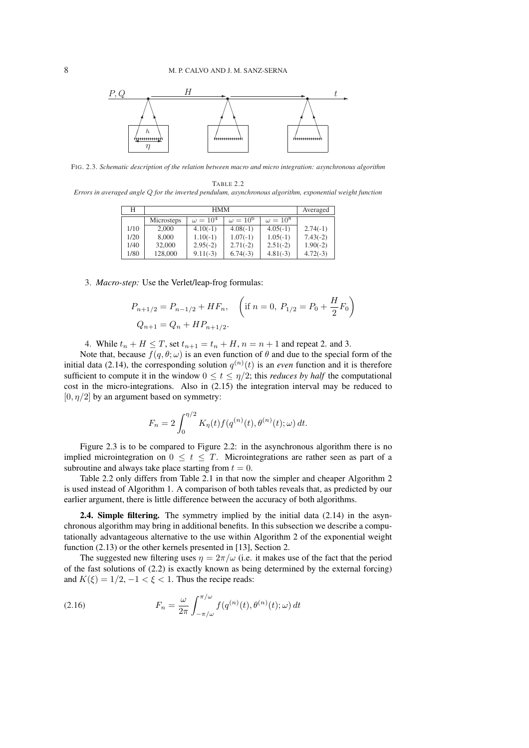

FIG. 2.3. *Schematic description of the relation between macro and micro integration: asynchronous algorithm*

TABLE 2.2 *Errors in averaged angle* Q *for the inverted pendulum, asynchronous algorithm, exponential weight function*

| Н    |            | Averaged        |                 |                 |            |
|------|------------|-----------------|-----------------|-----------------|------------|
|      | Microsteps | $\omega = 10^4$ | $\omega = 10^6$ | $\omega = 10^8$ |            |
| 1/10 | 2.000      | $4.10(-1)$      | $4.08(-1)$      | $4.05(-1)$      | $2.74(-1)$ |
| 1/20 | 8,000      | $1.10(-1)$      | $1.07(-1)$      | $1.05(-1)$      | $7.43(-2)$ |
| 1/40 | 32,000     | $2.95(-2)$      | $2.71(-2)$      | $2.51(-2)$      | $1.90(-2)$ |
| 1/80 | 128,000    | $9.11(-3)$      | $6.74(-3)$      | $4.81(-3)$      | $4.72(-3)$ |

3. *Macro-step:* Use the Verlet/leap-frog formulas:

$$
P_{n+1/2} = P_{n-1/2} + HF_n, \quad \left(\text{if } n = 0, P_{1/2} = P_0 + \frac{H}{2}F_0\right)
$$
  

$$
Q_{n+1} = Q_n + HP_{n+1/2}.
$$

4. While  $t_n + H \leq T$ , set  $t_{n+1} = t_n + H$ ,  $n = n + 1$  and repeat 2. and 3.

Note that, because  $f(q, \theta; \omega)$  is an even function of  $\theta$  and due to the special form of the initial data (2.14), the corresponding solution  $q^{(n)}(t)$  is an *even* function and it is therefore sufficient to compute it in the window  $0 \le t \le \eta/2$ ; this *reduces by half* the computational cost in the micro-integrations. Also in (2.15) the integration interval may be reduced to  $[0, \eta/2]$  by an argument based on symmetry:

$$
F_n = 2 \int_0^{\eta/2} K_\eta(t) f(q^{(n)}(t), \theta^{(n)}(t); \omega) dt.
$$

Figure 2.3 is to be compared to Figure 2.2: in the asynchronous algorithm there is no implied microintegration on  $0 \le t \le T$ . Microintegrations are rather seen as part of a subroutine and always take place starting from  $t = 0$ .

Table 2.2 only differs from Table 2.1 in that now the simpler and cheaper Algorithm 2 is used instead of Algorithm 1. A comparison of both tables reveals that, as predicted by our earlier argument, there is little difference between the accuracy of both algorithms.

**2.4. Simple filtering.** The symmetry implied by the initial data  $(2.14)$  in the asynchronous algorithm may bring in additional benefits. In this subsection we describe a computationally advantageous alternative to the use within Algorithm 2 of the exponential weight function (2.13) or the other kernels presented in [13], Section 2.

The suggested new filtering uses  $\eta = 2\pi/\omega$  (i.e. it makes use of the fact that the period of the fast solutions of (2.2) is exactly known as being determined by the external forcing) and  $K(\xi) = 1/2, -1 < \xi < 1$ . Thus the recipe reads:

(2.16) 
$$
F_n = \frac{\omega}{2\pi} \int_{-\pi/\omega}^{\pi/\omega} f(q^{(n)}(t), \theta^{(n)}(t); \omega) dt
$$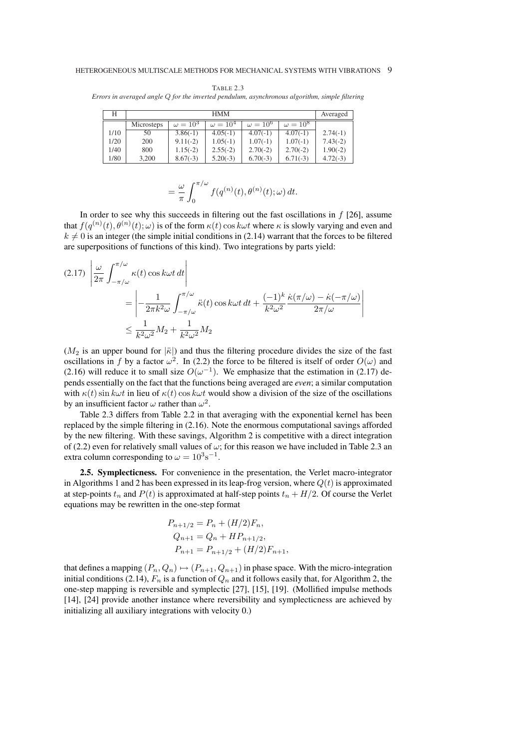TABLE 2.3

*Errors in averaged angle* Q *for the inverted pendulum, asynchronous algorithm, simple filtering*

| Н    |            | Averaged        |                 |                 |                 |            |
|------|------------|-----------------|-----------------|-----------------|-----------------|------------|
|      | Microsteps | $\omega = 10^3$ | $\omega = 10^4$ | $\omega = 10^6$ | $\omega = 10^8$ |            |
| 1/10 | 50         | $3.86(-1)$      | $4.05(-1)$      | $4.07(-1)$      | $4.07(-1)$      | $2.74(-1)$ |
| 1/20 | 200        | $9.11(-2)$      | $1.05(-1)$      | $1.07(-1)$      | $1.07(-1)$      | $7.43(-2)$ |
| 1/40 | 800        | $1.15(-2)$      | $2.55(-2)$      | $2.70(-2)$      | $2.70(-2)$      | $1.90(-2)$ |
| 1/80 | 3.200      | $8.67(-3)$      | $5.20(-3)$      | $6.70(-3)$      | $6.71(-3)$      | $4.72(-3)$ |

$$
= \frac{\omega}{\pi} \int_0^{\pi/\omega} f(q^{(n)}(t), \theta^{(n)}(t); \omega) dt.
$$

In order to see why this succeeds in filtering out the fast oscillations in  $f$  [26], assume that  $f(q^{(n)}(t), \theta^{(n)}(t); \omega)$  is of the form  $\kappa(t)$  cos  $k\omega t$  where  $\kappa$  is slowly varying and even and  $k \neq 0$  is an integer (the simple initial conditions in (2.14) warrant that the forces to be filtered are superpositions of functions of this kind). Two integrations by parts yield:

$$
(2.17) \left| \frac{\omega}{2\pi} \int_{-\pi/\omega}^{\pi/\omega} \kappa(t) \cos k\omega t \, dt \right|
$$
  
=  $\left| -\frac{1}{2\pi k^2 \omega} \int_{-\pi/\omega}^{\pi/\omega} \ddot{\kappa}(t) \cos k\omega t \, dt + \frac{(-1)^k}{k^2 \omega^2} \frac{\dot{\kappa}(\pi/\omega) - \dot{\kappa}(-\pi/\omega)}{2\pi/\omega} \right|$   
 $\leq \frac{1}{k^2 \omega^2} M_2 + \frac{1}{k^2 \omega^2} M_2$ 

( $M_2$  is an upper bound for  $|\ddot{\kappa}|$ ) and thus the filtering procedure divides the size of the fast oscillations in f by a factor  $\omega^2$ . In (2.2) the force to be filtered is itself of order  $O(\omega)$  and (2.16) will reduce it to small size  $O(\omega^{-1})$ . We emphasize that the estimation in (2.17) depends essentially on the fact that the functions being averaged are *even*; a similar computation with  $\kappa(t)$  sin  $k\omega t$  in lieu of  $\kappa(t)$  cos  $k\omega t$  would show a division of the size of the oscillations by an insufficient factor  $\omega$  rather than  $\omega^2$ .

Table 2.3 differs from Table 2.2 in that averaging with the exponential kernel has been replaced by the simple filtering in (2.16). Note the enormous computational savings afforded by the new filtering. With these savings, Algorithm 2 is competitive with a direct integration of (2.2) even for relatively small values of  $\omega$ ; for this reason we have included in Table 2.3 an extra column corresponding to  $\omega = 10^3 s^{-1}$ .

2.5. Symplecticness. For convenience in the presentation, the Verlet macro-integrator in Algorithms 1 and 2 has been expressed in its leap-frog version, where  $Q(t)$  is approximated at step-points  $t_n$  and  $P(t)$  is approximated at half-step points  $t_n + H/2$ . Of course the Verlet equations may be rewritten in the one-step format

$$
P_{n+1/2} = P_n + (H/2)F_n,
$$
  
\n
$$
Q_{n+1} = Q_n + HP_{n+1/2},
$$
  
\n
$$
P_{n+1} = P_{n+1/2} + (H/2)F_{n+1},
$$

that defines a mapping  $(P_n, Q_n) \mapsto (P_{n+1}, Q_{n+1})$  in phase space. With the micro-integration initial conditions (2.14),  $F_n$  is a function of  $Q_n$  and it follows easily that, for Algorithm 2, the one-step mapping is reversible and symplectic [27], [15], [19]. (Mollified impulse methods [14], [24] provide another instance where reversibility and symplecticness are achieved by initializing all auxiliary integrations with velocity 0.)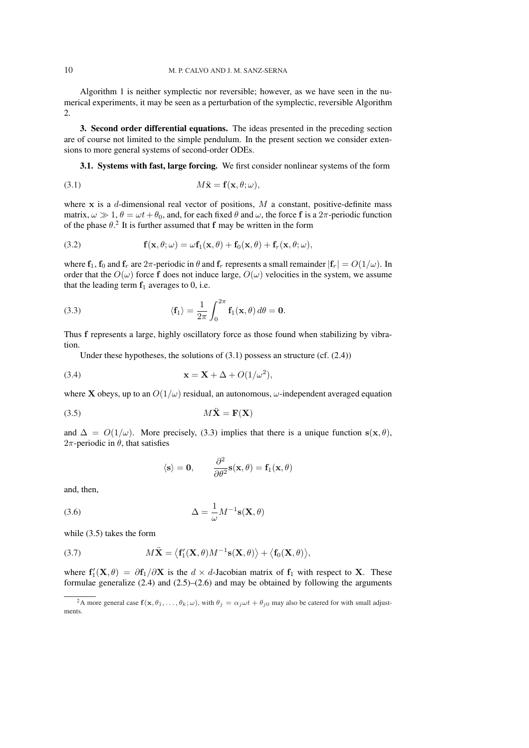Algorithm 1 is neither symplectic nor reversible; however, as we have seen in the numerical experiments, it may be seen as a perturbation of the symplectic, reversible Algorithm 2.

3. Second order differential equations. The ideas presented in the preceding section are of course not limited to the simple pendulum. In the present section we consider extensions to more general systems of second-order ODEs.

3.1. Systems with fast, large forcing. We first consider nonlinear systems of the form

$$
(3.1) \t\t\t M\ddot{\mathbf{x}} = \mathbf{f}(\mathbf{x}, \theta; \omega),
$$

where x is a d-dimensional real vector of positions,  $M$  a constant, positive-definite mass matrix,  $\omega \gg 1$ ,  $\theta = \omega t + \theta_0$ , and, for each fixed  $\theta$  and  $\omega$ , the force f is a  $2\pi$ -periodic function of the phase  $\theta$ <sup>2</sup>. It is further assumed that f may be written in the form

(3.2) 
$$
\mathbf{f}(\mathbf{x},\theta;\omega)=\omega\mathbf{f}_1(\mathbf{x},\theta)+\mathbf{f}_0(\mathbf{x},\theta)+\mathbf{f}_r(\mathbf{x},\theta;\omega),
$$

where  $f_1$ ,  $f_0$  and  $f_r$  are  $2\pi$ -periodic in  $\theta$  and  $f_r$  represents a small remainder  $|f_r| = O(1/\omega)$ . In order that the  $O(\omega)$  force f does not induce large,  $O(\omega)$  velocities in the system, we assume that the leading term  $f_1$  averages to 0, i.e.

(3.3) 
$$
\langle \mathbf{f}_1 \rangle = \frac{1}{2\pi} \int_0^{2\pi} \mathbf{f}_1(\mathbf{x}, \theta) d\theta = \mathbf{0}.
$$

Thus f represents a large, highly oscillatory force as those found when stabilizing by vibration.

Under these hypotheses, the solutions of  $(3.1)$  possess an structure  $(cf. (2.4))$ 

$$
\mathbf{x} = \mathbf{X} + \Delta + O(1/\omega^2),
$$

where **X** obeys, up to an  $O(1/\omega)$  residual, an autonomous,  $\omega$ -independent averaged equation

$$
(3.5) \t\t\t M\ddot{\mathbf{X}} = \mathbf{F}(\mathbf{X})
$$

and  $\Delta = O(1/\omega)$ . More precisely, (3.3) implies that there is a unique function s(x,  $\theta$ ),  $2\pi$ -periodic in  $\theta$ , that satisfies

$$
\langle {\bf s} \rangle = {\bf 0}, \qquad \frac{\partial^2}{\partial \theta^2} {\bf s}({\bf x}, \theta) = {\bf f}_1({\bf x}, \theta)
$$

and, then,

(3.6) 
$$
\Delta = \frac{1}{\omega} M^{-1} \mathbf{s}(\mathbf{X}, \theta)
$$

while (3.5) takes the form

(3.7) 
$$
M\ddot{\mathbf{X}} = \langle \mathbf{f}'_1(\mathbf{X}, \theta) M^{-1} \mathbf{s}(\mathbf{X}, \theta) \rangle + \langle \mathbf{f}_0(\mathbf{X}, \theta) \rangle,
$$

where  $f'_1(X, \theta) = \partial f_1 / \partial X$  is the  $d \times d$ -Jacobian matrix of  $f_1$  with respect to X. These formulae generalize  $(2.4)$  and  $(2.5)$ – $(2.6)$  and may be obtained by following the arguments

<sup>&</sup>lt;sup>2</sup>A more general case  $f(x, \theta_1, \ldots, \theta_k; \omega)$ , with  $\theta_i = \alpha_i \omega t + \theta_{i0}$  may also be catered for with small adjustments.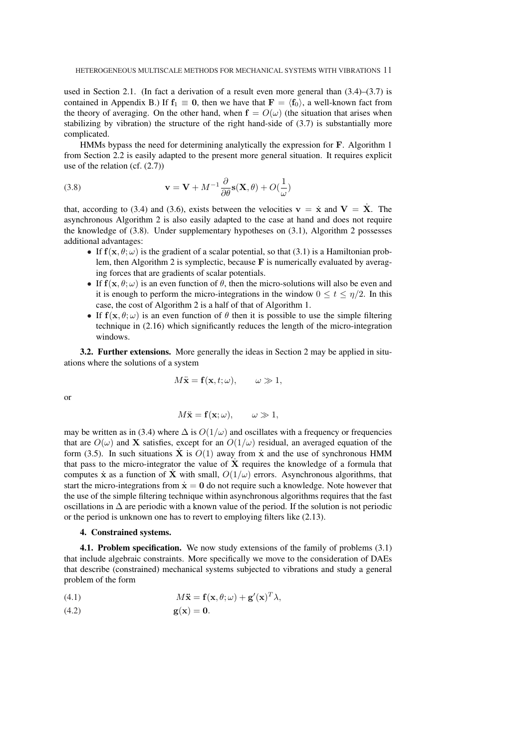used in Section 2.1. (In fact a derivation of a result even more general than  $(3.4)$ – $(3.7)$  is contained in Appendix B.) If  $f_1 \equiv 0$ , then we have that  $F = \langle f_0 \rangle$ , a well-known fact from the theory of averaging. On the other hand, when  $f = O(\omega)$  (the situation that arises when stabilizing by vibration) the structure of the right hand-side of (3.7) is substantially more complicated.

HMMs bypass the need for determining analytically the expression for F. Algorithm 1 from Section 2.2 is easily adapted to the present more general situation. It requires explicit use of the relation (cf. (2.7))

(3.8) 
$$
\mathbf{v} = \mathbf{V} + M^{-1} \frac{\partial}{\partial \theta} \mathbf{s}(\mathbf{X}, \theta) + O(\frac{1}{\omega})
$$

that, according to (3.4) and (3.6), exists between the velocities  $v = \dot{x}$  and  $V = \dot{X}$ . The asynchronous Algorithm 2 is also easily adapted to the case at hand and does not require the knowledge of (3.8). Under supplementary hypotheses on (3.1), Algorithm 2 possesses additional advantages:

- If  $f(x, \theta; \omega)$  is the gradient of a scalar potential, so that (3.1) is a Hamiltonian problem, then Algorithm 2 is symplectic, because  $\bf{F}$  is numerically evaluated by averaging forces that are gradients of scalar potentials.
- If  $f(x, \theta; \omega)$  is an even function of  $\theta$ , then the micro-solutions will also be even and it is enough to perform the micro-integrations in the window  $0 \le t \le \eta/2$ . In this case, the cost of Algorithm 2 is a half of that of Algorithm 1.
- If  $f(x, \theta; \omega)$  is an even function of  $\theta$  then it is possible to use the simple filtering technique in (2.16) which significantly reduces the length of the micro-integration windows.

3.2. Further extensions. More generally the ideas in Section 2 may be applied in situations where the solutions of a system

$$
M\ddot{\mathbf{x}} = \mathbf{f}(\mathbf{x}, t; \omega), \qquad \omega \gg 1,
$$

or

$$
M\ddot{\mathbf{x}} = \mathbf{f}(\mathbf{x}; \omega), \qquad \omega \gg 1,
$$

may be written as in (3.4) where  $\Delta$  is  $O(1/\omega)$  and oscillates with a frequency or frequencies that are  $O(\omega)$  and **X** satisfies, except for an  $O(1/\omega)$  residual, an averaged equation of the form (3.5). In such situations  $\dot{\mathbf{X}}$  is  $O(1)$  away from  $\dot{\mathbf{x}}$  and the use of synchronous HMM that pass to the micro-integrator the value of  $\dot{\mathbf{X}}$  requires the knowledge of a formula that computes x as a function of X with small,  $O(1/\omega)$  errors. Asynchronous algorithms, that start the micro-integrations from  $\dot{\mathbf{x}} = \mathbf{0}$  do not require such a knowledge. Note however that the use of the simple filtering technique within asynchronous algorithms requires that the fast oscillations in ∆ are periodic with a known value of the period. If the solution is not periodic or the period is unknown one has to revert to employing filters like (2.13).

# 4. Constrained systems.

4.1. Problem specification. We now study extensions of the family of problems (3.1) that include algebraic constraints. More specifically we move to the consideration of DAEs that describe (constrained) mechanical systems subjected to vibrations and study a general problem of the form

(4.1) 
$$
M\ddot{\mathbf{x}} = \mathbf{f}(\mathbf{x}, \theta; \omega) + \mathbf{g}'(\mathbf{x})^T \lambda,
$$

$$
g(\mathbf{x}) = \mathbf{0}.
$$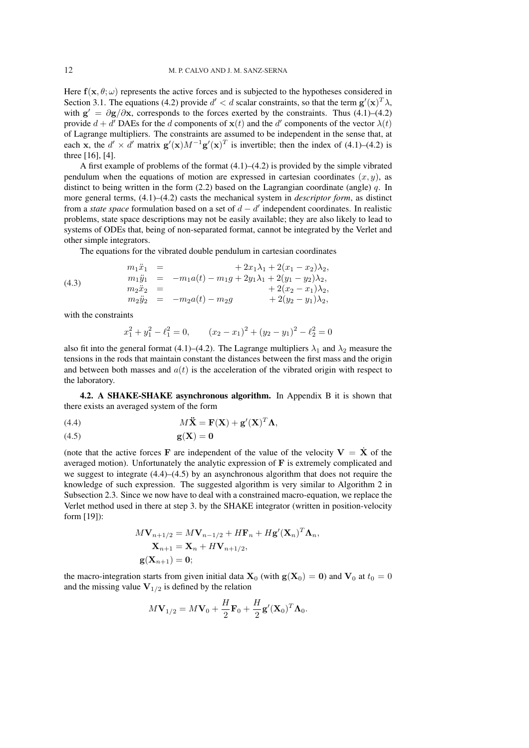Here  $f(x, \theta; \omega)$  represents the active forces and is subjected to the hypotheses considered in Section 3.1. The equations (4.2) provide  $d' < d$  scalar constraints, so that the term  $\mathbf{g}'(\mathbf{x})^T \lambda$ , with  $g' = \frac{\partial g}{\partial x}$ , corresponds to the forces exerted by the constraints. Thus (4.1)–(4.2) provide  $d + d'$  DAEs for the d components of  $\mathbf{x}(t)$  and the d' components of the vector  $\lambda(t)$ of Lagrange multipliers. The constraints are assumed to be independent in the sense that, at each x, the  $d' \times d'$  matrix  $\mathbf{g}'(\mathbf{x})M^{-1}\mathbf{g}'(\mathbf{x})^T$  is invertible; then the index of (4.1)–(4.2) is three [16], [4].

A first example of problems of the format  $(4.1)$ – $(4.2)$  is provided by the simple vibrated pendulum when the equations of motion are expressed in cartesian coordinates  $(x, y)$ , as distinct to being written in the form  $(2.2)$  based on the Lagrangian coordinate (angle) q. In more general terms, (4.1)–(4.2) casts the mechanical system in *descriptor form*, as distinct from a *state space* formulation based on a set of  $d - d'$  independent coordinates. In realistic problems, state space descriptions may not be easily available; they are also likely to lead to systems of ODEs that, being of non-separated format, cannot be integrated by the Verlet and other simple integrators.

The equations for the vibrated double pendulum in cartesian coordinates

(4.3) 
$$
m_1 \ddot{x}_1 = +2x_1\lambda_1 + 2(x_1 - x_2)\lambda_2, \n m_1 \ddot{y}_1 = -m_1 a(t) - m_1 g + 2y_1\lambda_1 + 2(y_1 - y_2)\lambda_2, \n m_2 \ddot{x}_2 = +2(x_2 - x_1)\lambda_2, \n m_2 \ddot{y}_2 = -m_2 a(t) - m_2 g + 2(y_2 - y_1)\lambda_2,
$$

with the constraints

$$
x_1^2 + y_1^2 - \ell_1^2 = 0, \qquad (x_2 - x_1)^2 + (y_2 - y_1)^2 - \ell_2^2 = 0
$$

also fit into the general format (4.1)–(4.2). The Lagrange multipliers  $\lambda_1$  and  $\lambda_2$  measure the tensions in the rods that maintain constant the distances between the first mass and the origin and between both masses and  $a(t)$  is the acceleration of the vibrated origin with respect to the laboratory.

4.2. A SHAKE-SHAKE asynchronous algorithm. In Appendix B it is shown that there exists an averaged system of the form

(4.4) 
$$
M\ddot{\mathbf{X}} = \mathbf{F}(\mathbf{X}) + \mathbf{g}'(\mathbf{X})^T \mathbf{\Lambda},
$$

$$
g(X) = 0
$$

(note that the active forces F are independent of the value of the velocity  $V = X$  of the averaged motion). Unfortunately the analytic expression of  $\bf{F}$  is extremely complicated and we suggest to integrate (4.4)–(4.5) by an asynchronous algorithm that does not require the knowledge of such expression. The suggested algorithm is very similar to Algorithm 2 in Subsection 2.3. Since we now have to deal with a constrained macro-equation, we replace the Verlet method used in there at step 3. by the SHAKE integrator (written in position-velocity form [19]):

$$
M\mathbf{V}_{n+1/2} = M\mathbf{V}_{n-1/2} + H\mathbf{F}_n + H\mathbf{g}'(\mathbf{X}_n)^T \mathbf{\Lambda}_n,
$$
  

$$
\mathbf{X}_{n+1} = \mathbf{X}_n + H\mathbf{V}_{n+1/2},
$$
  

$$
\mathbf{g}(\mathbf{X}_{n+1}) = \mathbf{0};
$$

the macro-integration starts from given initial data  $\mathbf{X}_0$  (with  $\mathbf{g}(\mathbf{X}_0) = \mathbf{0}$ ) and  $\mathbf{V}_0$  at  $t_0 = 0$ and the missing value  $V_{1/2}$  is defined by the relation

$$
M\mathbf{V}_{1/2} = M\mathbf{V}_0 + \frac{H}{2}\mathbf{F}_0 + \frac{H}{2}\mathbf{g}'(\mathbf{X}_0)^T\mathbf{\Lambda}_0.
$$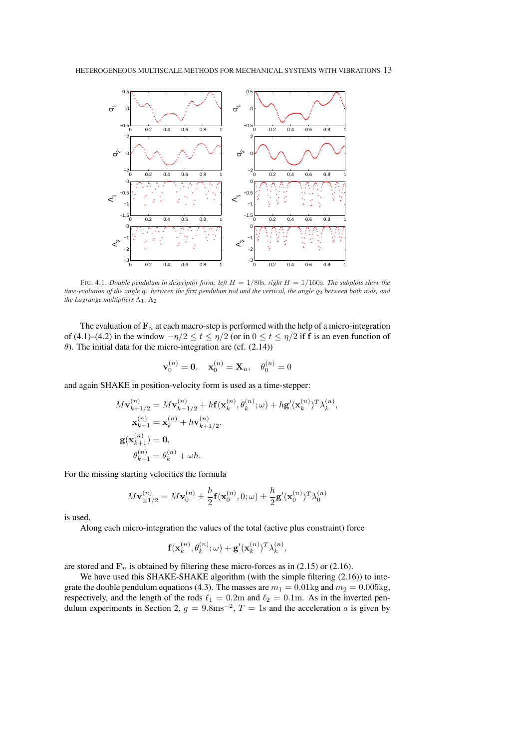

FIG. 4.1. *Double pendulum in descriptor form: left* H = 1/80s*, right* H = 1/160s*. The subplots show the time-evolution of the angle*  $q_1$  *between the first pendulum rod and the vertical, the angle*  $q_2$  *between both rods, and the Lagrange multipliers*  $\Lambda_1$ ,  $\Lambda_2$ 

The evaluation of  $\mathbf{F}_n$  at each macro-step is performed with the help of a micro-integration of (4.1)–(4.2) in the window  $-\eta/2 \le t \le \eta/2$  (or in  $0 \le t \le \eta/2$  if f is an even function of θ). The initial data for the micro-integration are (cf. (2.14))

$$
\mathbf{v}_0^{(n)} = \mathbf{0}, \quad \mathbf{x}_0^{(n)} = \mathbf{X}_n, \quad \theta_0^{(n)} = 0
$$

and again SHAKE in position-velocity form is used as a time-stepper:

$$
M\mathbf{v}_{k+1/2}^{(n)} = M\mathbf{v}_{k-1/2}^{(n)} + h\mathbf{f}(\mathbf{x}_k^{(n)}, \theta_k^{(n)}; \omega) + h\mathbf{g}'(\mathbf{x}_k^{(n)})^T \lambda_k^{(n)},
$$
  
\n
$$
\mathbf{x}_{k+1}^{(n)} = \mathbf{x}_k^{(n)} + h\mathbf{v}_{k+1/2}^{(n)},
$$
  
\n
$$
\mathbf{g}(\mathbf{x}_{k+1}^{(n)}) = \mathbf{0},
$$
  
\n
$$
\theta_{k+1}^{(n)} = \theta_k^{(n)} + \omega h.
$$

For the missing starting velocities the formula

$$
M\mathbf{v}_{\pm 1/2}^{(n)} = M\mathbf{v}_0^{(n)} \pm \frac{h}{2}\mathbf{f}(\mathbf{x}_0^{(n)}, 0; \omega) \pm \frac{h}{2}\mathbf{g}'(\mathbf{x}_0^{(n)})^T\lambda_0^{(n)}
$$

is used.

Along each micro-integration the values of the total (active plus constraint) force

$$
\mathbf{f}(\mathbf{x}_k^{(n)}, \theta_k^{(n)}; \omega) + \mathbf{g}'(\mathbf{x}_k^{(n)})^T \lambda_k^{(n)},
$$

are stored and  $\mathbf{F}_n$  is obtained by filtering these micro-forces as in (2.15) or (2.16).

We have used this SHAKE-SHAKE algorithm (with the simple filtering  $(2.16)$ ) to integrate the double pendulum equations (4.3). The masses are  $m_1 = 0.01 \text{kg}$  and  $m_2 = 0.005 \text{kg}$ , respectively, and the length of the rods  $\ell_1 = 0.2$ m and  $\ell_2 = 0.1$ m. As in the inverted pendulum experiments in Section 2,  $g = 9.8$ ms<sup>-2</sup>,  $T = 1$ s and the acceleration a is given by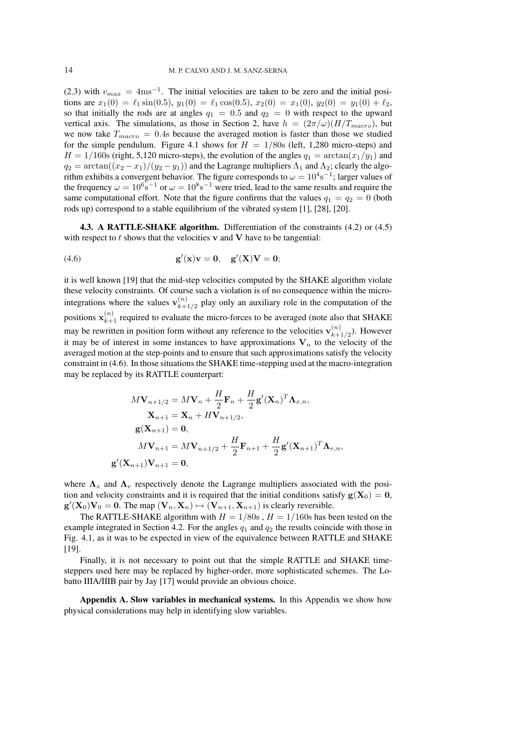(2.3) with  $v_{max} = 4 \text{ms}^{-1}$ . The initial velocities are taken to be zero and the initial positions are  $x_1(0) = \ell_1 \sin(0.5), y_1(0) = \ell_1 \cos(0.5), x_2(0) = x_1(0), y_2(0) = y_1(0) + \ell_2$ , so that initially the rods are at angles  $q_1 = 0.5$  and  $q_2 = 0$  with respect to the upward vertical axis. The simulations, as those in Section 2, have  $h = (2\pi/\omega)(H/T_{macro})$ , but we now take  $T_{macro} = 0.4$ s because the averaged motion is faster than those we studied for the simple pendulum. Figure 4.1 shows for  $H = 1/80s$  (left, 1,280 micro-steps) and  $H = 1/160$ s (right, 5,120 micro-steps), the evolution of the angles  $q_1 = \arctan(x_1/y_1)$  and  $q_2 = \arctan((x_2 - x_1)/(y_2 - y_1))$  and the Lagrange multipliers  $\Lambda_1$  and  $\Lambda_2$ ; clearly the algorithm exhibits a convergent behavior. The figure corresponds to  $\omega = 10^4$ s<sup>-1</sup>; larger values of the frequency  $\omega = 10^6 s^{-1}$  or  $\omega = 10^8 s^{-1}$  were tried, lead to the same results and require the same computational effort. Note that the figure confirms that the values  $q_1 = q_2 = 0$  (both rods up) correspond to a stable equilibrium of the vibrated system [1], [28], [20].

4.3. A RATTLE-SHAKE algorithm. Differentiation of the constraints (4.2) or (4.5) with respect to  $t$  shows that the velocities  $\bf{v}$  and  $\bf{V}$  have to be tangential:

$$
\mathbf{g}'(\mathbf{x})\mathbf{v} = \mathbf{0}, \quad \mathbf{g}'(\mathbf{X})\mathbf{V} = \mathbf{0};
$$

 $g'$ 

it is well known [19] that the mid-step velocities computed by the SHAKE algorithm violate these velocity constraints. Of course such a violation is of no consequence within the microintegrations where the values  $\mathbf{v}_{k+1}^{(n)}$  $\binom{n}{k+1/2}$  play only an auxiliary role in the computation of the positions  $\mathbf{x}_{k+1}^{(n)}$  required to evaluate the micro-forces to be averaged (note also that SHAKE may be rewritten in position form without any reference to the velocities  $\mathbf{v}_{k+1}^{(n)}$  $\binom{n}{k+1/2}$ . However it may be of interest in some instances to have approximations  $V_n$  to the velocity of the averaged motion at the step-points and to ensure that such approximations satisfy the velocity constraint in (4.6). In those situations the SHAKE time-stepping used at the macro-integration may be replaced by its RATTLE counterpart:

$$
M\mathbf{V}_{n+1/2} = M\mathbf{V}_n + \frac{H}{2}\mathbf{F}_n + \frac{H}{2}\mathbf{g}'(\mathbf{X}_n)^T\mathbf{\Lambda}_{x,n},
$$
  

$$
\mathbf{X}_{n+1} = \mathbf{X}_n + H\mathbf{V}_{n+1/2},
$$
  

$$
\mathbf{g}(\mathbf{X}_{n+1}) = \mathbf{0},
$$
  

$$
M\mathbf{V}_{n+1} = M\mathbf{V}_{n+1/2} + \frac{H}{2}\mathbf{F}_{n+1} + \frac{H}{2}\mathbf{g}'(\mathbf{X}_{n+1})^T\mathbf{\Lambda}_{v,n},
$$
  

$$
(\mathbf{X}_{n+1})\mathbf{V}_{n+1} = \mathbf{0},
$$

where  $\Lambda_x$  and  $\Lambda_y$  respectively denote the Lagrange multipliers associated with the position and velocity constraints and it is required that the initial conditions satisfy  $g(X_0) = 0$ ,  $\mathbf{g}'(\mathbf{X}_0)\mathbf{V}_0 = \mathbf{0}$ . The map  $(\mathbf{V}_n, \mathbf{X}_n) \mapsto (\mathbf{V}_{n+1}, \mathbf{X}_{n+1})$  is clearly reversible.

The RATTLE-SHAKE algorithm with  $H = 1/80$ s,  $H = 1/160$ s has been tested on the example integrated in Section 4.2. For the angles  $q_1$  and  $q_2$  the results coincide with those in Fig. 4.1, as it was to be expected in view of the equivalence between RATTLE and SHAKE [19].

Finally, it is not necessary to point out that the simple RATTLE and SHAKE timesteppers used here may be replaced by higher-order, more sophisticated schemes. The Lobatto IIIA/IIIB pair by Jay [17] would provide an obvious choice.

Appendix A. Slow variables in mechanical systems. In this Appendix we show how physical considerations may help in identifying slow variables.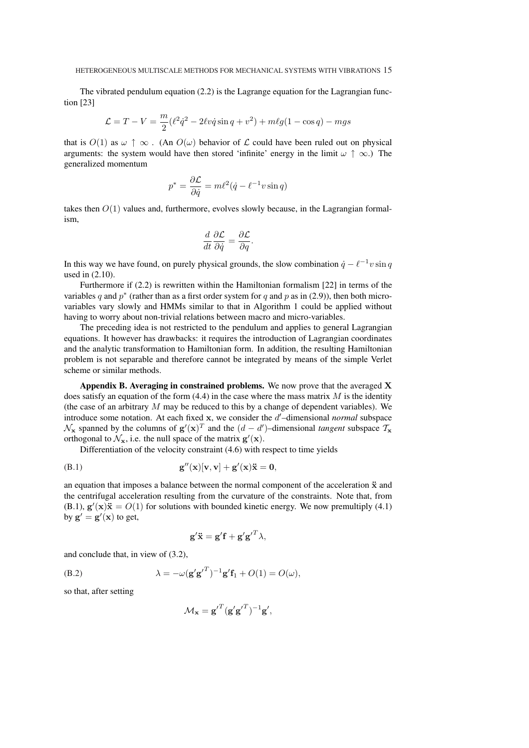The vibrated pendulum equation (2.2) is the Lagrange equation for the Lagrangian function [23]

$$
\mathcal{L} = T - V = \frac{m}{2}(\ell^2 \dot{q}^2 - 2\ell v \dot{q} \sin q + v^2) + m\ell g(1 - \cos q) - mgs
$$

that is  $O(1)$  as  $\omega \uparrow \infty$ . (An  $O(\omega)$  behavior of  $\mathcal L$  could have been ruled out on physical arguments: the system would have then stored 'infinite' energy in the limit  $\omega \uparrow \infty$ .) The generalized momentum

$$
p^* = \frac{\partial \mathcal{L}}{\partial \dot{q}} = m\ell^2 (\dot{q} - \ell^{-1}v\sin q)
$$

takes then  $O(1)$  values and, furthermore, evolves slowly because, in the Lagrangian formalism,

$$
\frac{d}{dt}\frac{\partial \mathcal{L}}{\partial \dot{q}} = \frac{\partial \mathcal{L}}{\partial q}.
$$

In this way we have found, on purely physical grounds, the slow combination  $\dot{q} - \ell^{-1} v \sin q$ used in (2.10).

Furthermore if (2.2) is rewritten within the Hamiltonian formalism [22] in terms of the variables q and  $p^*$  (rather than as a first order system for q and p as in (2.9)), then both microvariables vary slowly and HMMs similar to that in Algorithm 1 could be applied without having to worry about non-trivial relations between macro and micro-variables.

The preceding idea is not restricted to the pendulum and applies to general Lagrangian equations. It however has drawbacks: it requires the introduction of Lagrangian coordinates and the analytic transformation to Hamiltonian form. In addition, the resulting Hamiltonian problem is not separable and therefore cannot be integrated by means of the simple Verlet scheme or similar methods.

Appendix B. Averaging in constrained problems. We now prove that the averaged  $X$ does satisfy an equation of the form  $(4.4)$  in the case where the mass matrix M is the identity (the case of an arbitrary  $M$  may be reduced to this by a change of dependent variables). We introduce some notation. At each fixed x, we consider the d'-dimensional *normal* subspace  $\mathcal{N}_{\mathbf{x}}$  spanned by the columns of  $\mathbf{g}'(\mathbf{x})^T$  and the  $(d - d')$ -dimensional *tangent* subspace  $\mathcal{T}_{\mathbf{x}}$ orthogonal to  $\mathcal{N}_{\mathbf{x}}$ , i.e. the null space of the matrix  $\mathbf{g}'(\mathbf{x})$ .

Differentiation of the velocity constraint (4.6) with respect to time yields

$$
\mathbf{g}''(\mathbf{x})[\mathbf{v},\mathbf{v}] + \mathbf{g}'(\mathbf{x})\ddot{\mathbf{x}} = \mathbf{0},
$$

an equation that imposes a balance between the normal component of the acceleration  $\ddot{x}$  and the centrifugal acceleration resulting from the curvature of the constraints. Note that, from  $(B.1)$ ,  $\mathbf{g}'(\mathbf{x})\ddot{\mathbf{x}} = O(1)$  for solutions with bounded kinetic energy. We now premultiply (4.1) by  $\mathbf{g}' = \mathbf{g}'(\mathbf{x})$  to get,

$$
\mathbf{g}'\ddot{\mathbf{x}} = \mathbf{g}'\mathbf{f} + \mathbf{g}'\mathbf{g}'^T\lambda,
$$

and conclude that, in view of (3.2),

(B.2) 
$$
\lambda = -\omega(\mathbf{g}'\mathbf{g}'^T)^{-1}\mathbf{g}'\mathbf{f}_1 + O(1) = O(\omega),
$$

so that, after setting

$$
\mathcal{M}_{\mathbf{x}} = \mathbf{g'}^T (\mathbf{g'}\mathbf{g'}^T)^{-1} \mathbf{g'},
$$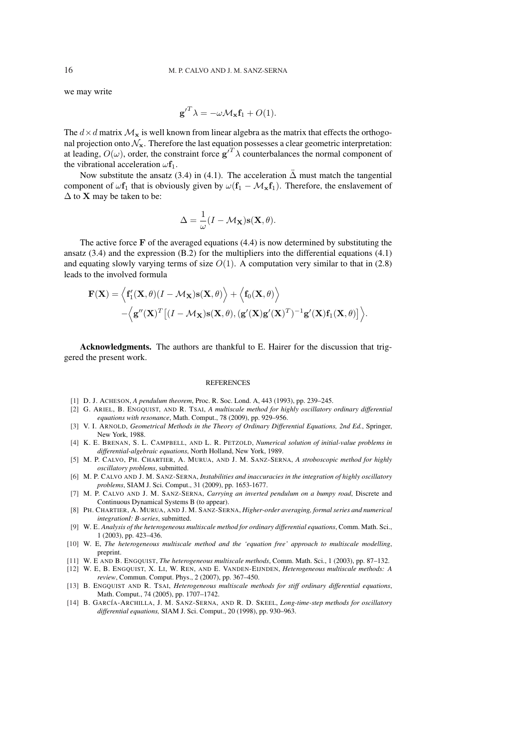we may write

$$
\mathbf{g'}^T \lambda = -\omega \mathcal{M}_\mathbf{x} \mathbf{f}_1 + O(1).
$$

The  $d \times d$  matrix  $\mathcal{M}_{\mathbf{x}}$  is well known from linear algebra as the matrix that effects the orthogonal projection onto  $\mathcal{N}_{\mathbf{x}}$ . Therefore the last equation possesses a clear geometric interpretation: at leading,  $O(\omega)$ , order, the constraint force  ${\bf g'}^T \lambda$  counterbalances the normal component of the vibrational acceleration  $\omega f_1$ .

Now substitute the ansatz (3.4) in (4.1). The acceleration  $\Delta$  must match the tangential component of  $\omega f_1$  that is obviously given by  $\omega(f_1 - \mathcal{M}_x f_1)$ . Therefore, the enslavement of  $\Delta$  to **X** may be taken to be:

$$
\Delta = \frac{1}{\omega}(I - \mathcal{M}_{\mathbf{X}})\mathbf{s}(\mathbf{X}, \theta).
$$

The active force  $\bf{F}$  of the averaged equations (4.4) is now determined by substituting the ansatz  $(3.4)$  and the expression  $(B.2)$  for the multipliers into the differential equations  $(4.1)$ and equating slowly varying terms of size  $O(1)$ . A computation very similar to that in (2.8) leads to the involved formula

$$
\mathbf{F}(\mathbf{X}) = \Big\langle \mathbf{f}'_1(\mathbf{X}, \theta)(I - \mathcal{M}_{\mathbf{X}})\mathbf{s}(\mathbf{X}, \theta) \Big\rangle + \Big\langle \mathbf{f}_0(\mathbf{X}, \theta) \Big\rangle - \Big\langle \mathbf{g}''(\mathbf{X})^T \big[ (I - \mathcal{M}_{\mathbf{X}})\mathbf{s}(\mathbf{X}, \theta), (\mathbf{g}'(\mathbf{X})\mathbf{g}'(\mathbf{X})^T)^{-1} \mathbf{g}'(\mathbf{X})\mathbf{f}_1(\mathbf{X}, \theta) \big] \Big\rangle.
$$

Acknowledgments. The authors are thankful to E. Hairer for the discussion that triggered the present work.

#### **REFERENCES**

- [1] D. J. ACHESON, *A pendulum theorem*, Proc. R. Soc. Lond. A, 443 (1993), pp. 239–245.
- [2] G. ARIEL, B. ENGQUIST, AND R. TSAI, *A multiscale method for highly oscillatory ordinary differential equations with resonance*, Math. Comput., 78 (2009), pp. 929–956.
- [3] V. I. ARNOLD, *Geometrical Methods in the Theory of Ordinary Differential Equations, 2nd Ed.*, Springer, New York, 1988.
- [4] K. E. BRENAN, S. L. CAMPBELL, AND L. R. PETZOLD, *Numerical solution of initial-value problems in differential-algebraic equations*, North Holland, New York, 1989.
- [5] M. P. CALVO, PH. CHARTIER, A. MURUA, AND J. M. SANZ-SERNA, *A stroboscopic method for highly oscillatory problems*, submitted.
- [6] M. P. CALVO AND J. M. SANZ-SERNA, *Instabilities and inaccuracies in the integration of highly oscillatory problems*, SIAM J. Sci. Comput., 31 (2009), pp. 1653-1677.
- [7] M. P. CALVO AND J. M. SANZ-SERNA, *Carrying an inverted pendulum on a bumpy road*, Discrete and Continuous Dynamical Systems B (to appear).
- [8] PH. CHARTIER, A. MURUA, AND J. M. SANZ-SERNA, *Higher-order averaging, formal series and numerical integrationI: B-series*, submitted.
- [9] W. E. *Analysis of the heterogeneous multiscale method for ordinary differential equations*, Comm. Math. Sci., 1 (2003), pp. 423–436.
- [10] W. E, *The heterogeneous multiscale method and the 'equation free' approach to multiscale modelling*, preprint.
- [11] W. E AND B. ENGQUIST, *The heterogeneous multiscale methods*, Comm. Math. Sci., 1 (2003), pp. 87–132.
- [12] W. E, B. ENGQUIST, X. LI, W. REN, AND E. VANDEN-EIJNDEN, *Heterogeneous multiscale methods: A review*, Commun. Comput. Phys., 2 (2007), pp. 367–450.
- [13] B. ENGQUIST AND R. TSAI, *Heterogeneous multiscale methods for stiff ordinary differential equations*, Math. Comput., 74 (2005), pp. 1707–1742.
- [14] B. GARC´IA-ARCHILLA, J. M. SANZ-SERNA, AND R. D. SKEEL, *Long-time-step methods for oscillatory differential equations,* SIAM J. Sci. Comput., 20 (1998), pp. 930–963.